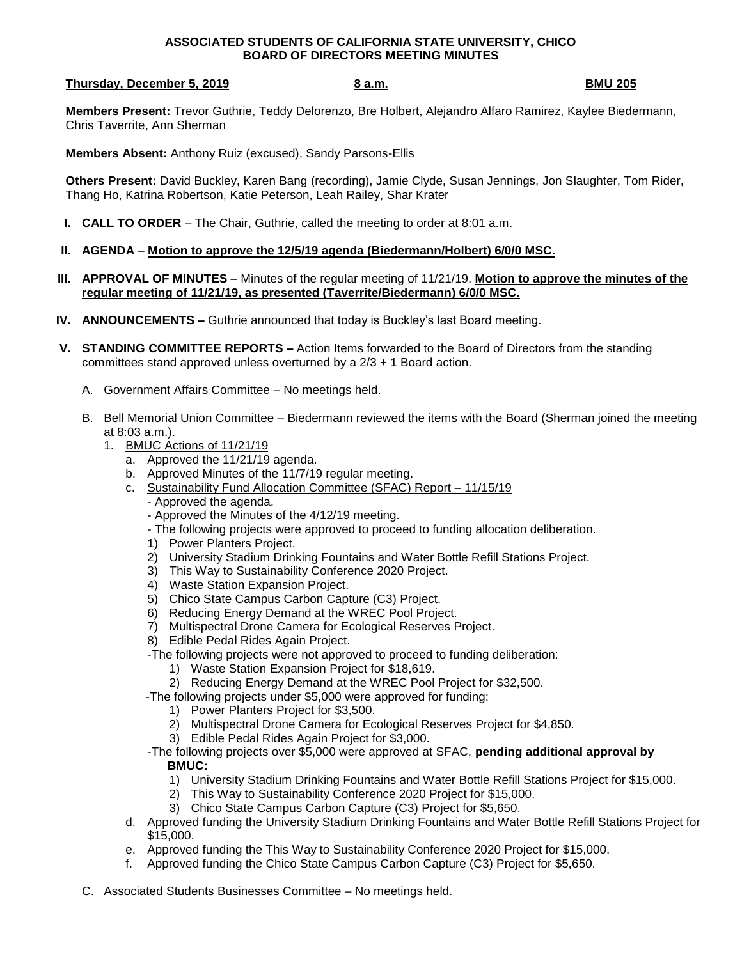## **ASSOCIATED STUDENTS OF CALIFORNIA STATE UNIVERSITY, CHICO BOARD OF DIRECTORS MEETING MINUTES**

## **Thursday, December 5, 2019 8 a.m. BMU 205**

**Members Present:** Trevor Guthrie, Teddy Delorenzo, Bre Holbert, Alejandro Alfaro Ramirez, Kaylee Biedermann, Chris Taverrite, Ann Sherman

**Members Absent:** Anthony Ruiz (excused), Sandy Parsons-Ellis

**Others Present:** David Buckley, Karen Bang (recording), Jamie Clyde, Susan Jennings, Jon Slaughter, Tom Rider, Thang Ho, Katrina Robertson, Katie Peterson, Leah Railey, Shar Krater

- **I. CALL TO ORDER** The Chair, Guthrie, called the meeting to order at 8:01 a.m.
- **II. AGENDA Motion to approve the 12/5/19 agenda (Biedermann/Holbert) 6/0/0 MSC.**
- **III. APPROVAL OF MINUTES** Minutes of the regular meeting of 11/21/19. **Motion to approve the minutes of the regular meeting of 11/21/19, as presented (Taverrite/Biedermann) 6/0/0 MSC.**
- **IV. ANNOUNCEMENTS –** Guthrie announced that today is Buckley's last Board meeting.
- **V. STANDING COMMITTEE REPORTS –** Action Items forwarded to the Board of Directors from the standing committees stand approved unless overturned by a 2/3 + 1 Board action.
	- A. Government Affairs Committee No meetings held.
	- B. Bell Memorial Union Committee Biedermann reviewed the items with the Board (Sherman joined the meeting at 8:03 a.m.).
		- 1. BMUC Actions of 11/21/19
			- a. Approved the 11/21/19 agenda.
			- b. Approved Minutes of the 11/7/19 regular meeting.
			- c. Sustainability Fund Allocation Committee (SFAC) Report 11/15/19
				- Approved the agenda.
				- Approved the Minutes of the 4/12/19 meeting.
				- The following projects were approved to proceed to funding allocation deliberation.
				- 1) Power Planters Project.
				- 2) University Stadium Drinking Fountains and Water Bottle Refill Stations Project.
				- 3) This Way to Sustainability Conference 2020 Project.
				- 4) Waste Station Expansion Project.
				- 5) Chico State Campus Carbon Capture (C3) Project.
				- 6) Reducing Energy Demand at the WREC Pool Project.
				- 7) Multispectral Drone Camera for Ecological Reserves Project.
				- 8) Edible Pedal Rides Again Project.
				- -The following projects were not approved to proceed to funding deliberation:
					- 1) Waste Station Expansion Project for \$18,619.
					- 2) Reducing Energy Demand at the WREC Pool Project for \$32,500.
				- -The following projects under \$5,000 were approved for funding:
					- 1) Power Planters Project for \$3,500.
					- 2) Multispectral Drone Camera for Ecological Reserves Project for \$4,850.
					- 3) Edible Pedal Rides Again Project for \$3,000.
				- -The following projects over \$5,000 were approved at SFAC, **pending additional approval by BMUC:**
					- 1) University Stadium Drinking Fountains and Water Bottle Refill Stations Project for \$15,000.
					- 2) This Way to Sustainability Conference 2020 Project for \$15,000.
					- 3) Chico State Campus Carbon Capture (C3) Project for \$5,650.
			- d. Approved funding the University Stadium Drinking Fountains and Water Bottle Refill Stations Project for \$15,000.
			- e. Approved funding the This Way to Sustainability Conference 2020 Project for \$15,000.
			- f. Approved funding the Chico State Campus Carbon Capture (C3) Project for \$5,650.
	- C. Associated Students Businesses Committee No meetings held.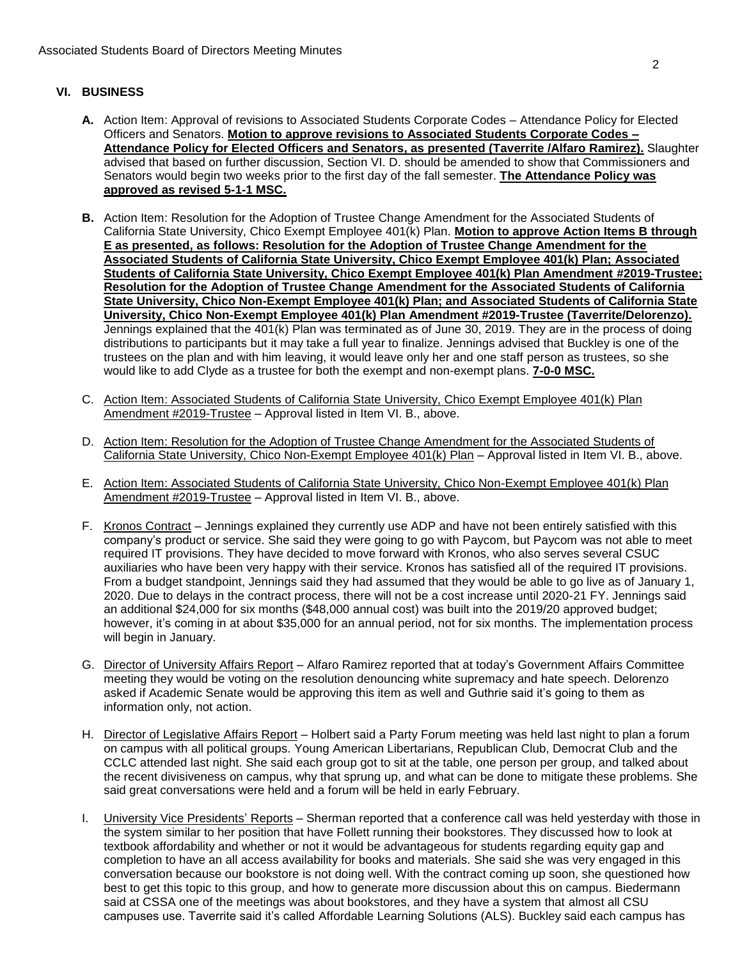## **VI. BUSINESS**

- **A.** Action Item: Approval of revisions to Associated Students Corporate Codes Attendance Policy for Elected Officers and Senators. **Motion to approve revisions to Associated Students Corporate Codes – Attendance Policy for Elected Officers and Senators, as presented (Taverrite /Alfaro Ramirez).** Slaughter advised that based on further discussion, Section VI. D. should be amended to show that Commissioners and Senators would begin two weeks prior to the first day of the fall semester. **The Attendance Policy was approved as revised 5-1-1 MSC.**
- **B.** Action Item: Resolution for the Adoption of Trustee Change Amendment for the Associated Students of California State University, Chico Exempt Employee 401(k) Plan. **Motion to approve Action Items B through E as presented, as follows: Resolution for the Adoption of Trustee Change Amendment for the Associated Students of California State University, Chico Exempt Employee 401(k) Plan; Associated Students of California State University, Chico Exempt Employee 401(k) Plan Amendment #2019-Trustee; Resolution for the Adoption of Trustee Change Amendment for the Associated Students of California State University, Chico Non-Exempt Employee 401(k) Plan; and Associated Students of California State University, Chico Non-Exempt Employee 401(k) Plan Amendment #2019-Trustee (Taverrite/Delorenzo).** Jennings explained that the 401(k) Plan was terminated as of June 30, 2019. They are in the process of doing distributions to participants but it may take a full year to finalize. Jennings advised that Buckley is one of the trustees on the plan and with him leaving, it would leave only her and one staff person as trustees, so she would like to add Clyde as a trustee for both the exempt and non-exempt plans. **7-0-0 MSC.**
- C. Action Item: Associated Students of California State University, Chico Exempt Employee 401(k) Plan Amendment #2019-Trustee – Approval listed in Item VI. B., above.
- D. Action Item: Resolution for the Adoption of Trustee Change Amendment for the Associated Students of California State University, Chico Non-Exempt Employee 401(k) Plan - Approval listed in Item VI. B., above.
- E. Action Item: Associated Students of California State University, Chico Non-Exempt Employee 401(k) Plan Amendment #2019-Trustee – Approval listed in Item VI. B., above.
- F. Kronos Contract Jennings explained they currently use ADP and have not been entirely satisfied with this company's product or service. She said they were going to go with Paycom, but Paycom was not able to meet required IT provisions. They have decided to move forward with Kronos, who also serves several CSUC auxiliaries who have been very happy with their service. Kronos has satisfied all of the required IT provisions. From a budget standpoint, Jennings said they had assumed that they would be able to go live as of January 1, 2020. Due to delays in the contract process, there will not be a cost increase until 2020-21 FY. Jennings said an additional \$24,000 for six months (\$48,000 annual cost) was built into the 2019/20 approved budget; however, it's coming in at about \$35,000 for an annual period, not for six months. The implementation process will begin in January.
- G. Director of University Affairs Report Alfaro Ramirez reported that at today's Government Affairs Committee meeting they would be voting on the resolution denouncing white supremacy and hate speech. Delorenzo asked if Academic Senate would be approving this item as well and Guthrie said it's going to them as information only, not action.
- H. Director of Legislative Affairs Report Holbert said a Party Forum meeting was held last night to plan a forum on campus with all political groups. Young American Libertarians, Republican Club, Democrat Club and the CCLC attended last night. She said each group got to sit at the table, one person per group, and talked about the recent divisiveness on campus, why that sprung up, and what can be done to mitigate these problems. She said great conversations were held and a forum will be held in early February.
- I. University Vice Presidents' Reports Sherman reported that a conference call was held yesterday with those in the system similar to her position that have Follett running their bookstores. They discussed how to look at textbook affordability and whether or not it would be advantageous for students regarding equity gap and completion to have an all access availability for books and materials. She said she was very engaged in this conversation because our bookstore is not doing well. With the contract coming up soon, she questioned how best to get this topic to this group, and how to generate more discussion about this on campus. Biedermann said at CSSA one of the meetings was about bookstores, and they have a system that almost all CSU campuses use. Taverrite said it's called Affordable Learning Solutions (ALS). Buckley said each campus has